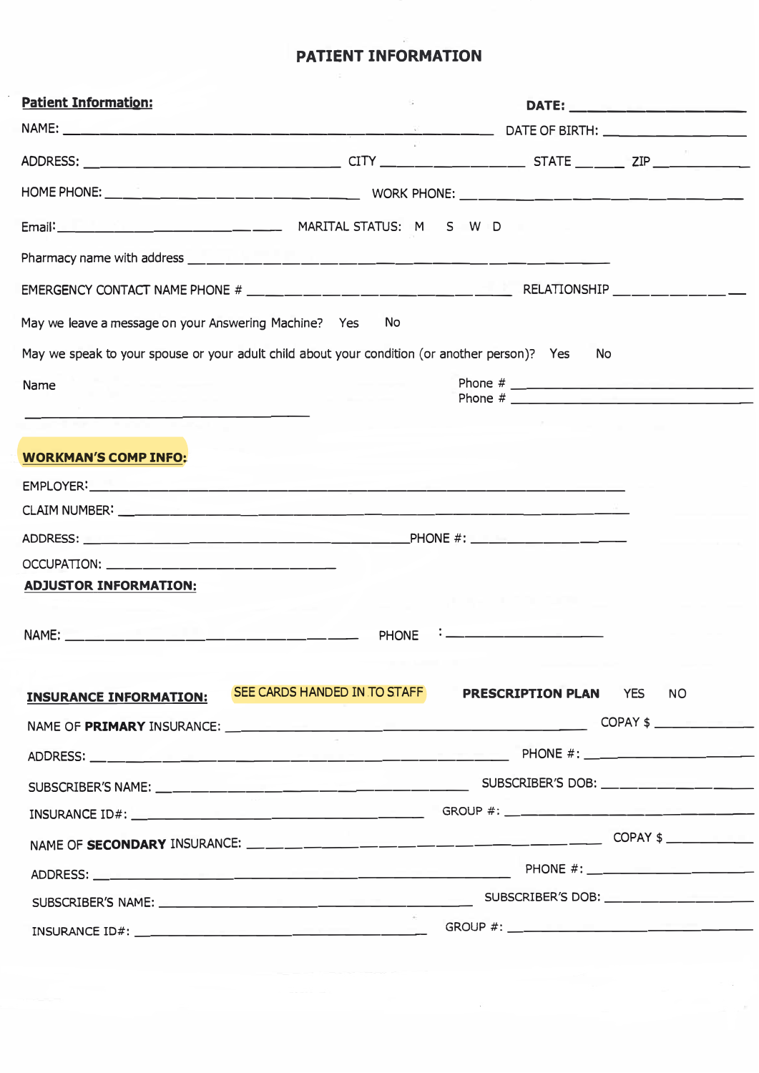# **PATIENT INFORMATION**

| <b>Patient Information:</b>                                                                   |           |                              |           |
|-----------------------------------------------------------------------------------------------|-----------|------------------------------|-----------|
|                                                                                               |           |                              |           |
|                                                                                               |           |                              |           |
|                                                                                               |           |                              |           |
|                                                                                               |           |                              |           |
|                                                                                               |           |                              |           |
|                                                                                               |           |                              |           |
| May we leave a message on your Answering Machine? Yes                                         | <b>No</b> |                              |           |
| May we speak to your spouse or your adult child about your condition (or another person)? Yes |           | <b>No</b>                    |           |
| Name                                                                                          |           |                              |           |
|                                                                                               |           |                              |           |
| <b>WORKMAN'S COMP INFO:</b>                                                                   |           |                              |           |
|                                                                                               |           |                              |           |
|                                                                                               |           |                              |           |
|                                                                                               |           |                              |           |
|                                                                                               |           |                              |           |
| <b>ADJUSTOR INFORMATION:</b>                                                                  |           |                              |           |
|                                                                                               | PHONE     |                              |           |
|                                                                                               |           |                              |           |
| <b>INSURANCE INFORMATION: SEE CARDS HANDED IN TO STAFF</b>                                    |           | <b>PRESCRIPTION PLAN YES</b> | <b>NO</b> |
|                                                                                               |           |                              | COPAY \$  |
|                                                                                               |           |                              |           |
|                                                                                               |           |                              |           |
|                                                                                               |           |                              |           |
|                                                                                               |           |                              |           |
|                                                                                               |           |                              |           |
|                                                                                               |           |                              |           |
|                                                                                               |           |                              |           |